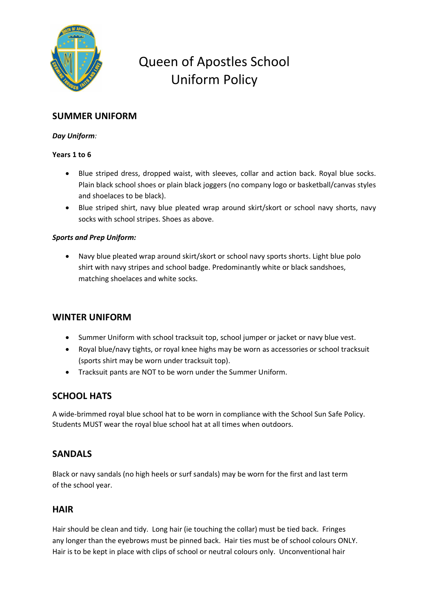

# Queen of Apostles School Uniform Policy

# **SUMMER UNIFORM**

## *Day Uniform:*

#### **Years 1 to 6**

- Blue striped dress, dropped waist, with sleeves, collar and action back. Royal blue socks. Plain black school shoes or plain black joggers (no company logo or basketball/canvas styles and shoelaces to be black).
- Blue striped shirt, navy blue pleated wrap around skirt/skort or school navy shorts, navy socks with school stripes. Shoes as above.

## *Sports and Prep Uniform:*

• Navy blue pleated wrap around skirt/skort or school navy sports shorts. Light blue polo shirt with navy stripes and school badge. Predominantly white or black sandshoes, matching shoelaces and white socks.

## **WINTER UNIFORM**

- Summer Uniform with school tracksuit top, school jumper or jacket or navy blue vest.
- Royal blue/navy tights, or royal knee highs may be worn as accessories or school tracksuit (sports shirt may be worn under tracksuit top).
- Tracksuit pants are NOT to be worn under the Summer Uniform.

# **SCHOOL HATS**

A wide-brimmed royal blue school hat to be worn in compliance with the School Sun Safe Policy. Students MUST wear the royal blue school hat at all times when outdoors.

## **SANDALS**

Black or navy sandals (no high heels or surf sandals) may be worn for the first and last term of the school year.

## **HAIR**

Hair should be clean and tidy. Long hair (ie touching the collar) must be tied back. Fringes any longer than the eyebrows must be pinned back. Hair ties must be of school colours ONLY. Hair is to be kept in place with clips of school or neutral colours only. Unconventional hair